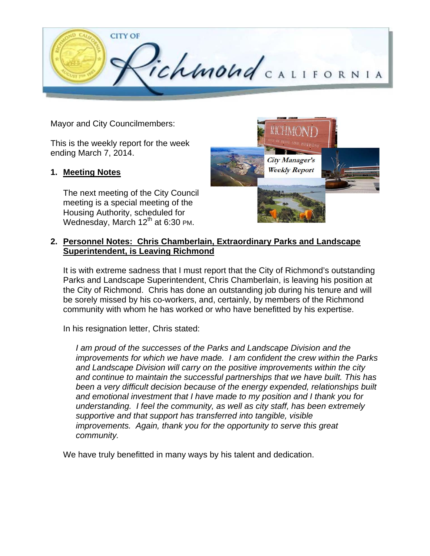

Mayor and City Councilmembers:

This is the weekly report for the week ending March 7, 2014.

### **1. Meeting Notes**

The next meeting of the City Council meeting is a special meeting of the Housing Authority, scheduled for Wednesday, March  $12<sup>th</sup>$  at 6:30 PM.



### **2. Personnel Notes: Chris Chamberlain, Extraordinary Parks and Landscape Superintendent, is Leaving Richmond**

It is with extreme sadness that I must report that the City of Richmond's outstanding Parks and Landscape Superintendent, Chris Chamberlain, is leaving his position at the City of Richmond. Chris has done an outstanding job during his tenure and will be sorely missed by his co-workers, and, certainly, by members of the Richmond community with whom he has worked or who have benefitted by his expertise.

In his resignation letter, Chris stated:

*I am proud of the successes of the Parks and Landscape Division and the improvements for which we have made. I am confident the crew within the Parks and Landscape Division will carry on the positive improvements within the city and continue to maintain the successful partnerships that we have built. This has been a very difficult decision because of the energy expended, relationships built and emotional investment that I have made to my position and I thank you for understanding. I feel the community, as well as city staff, has been extremely supportive and that support has transferred into tangible, visible improvements. Again, thank you for the opportunity to serve this great community.* 

We have truly benefitted in many ways by his talent and dedication.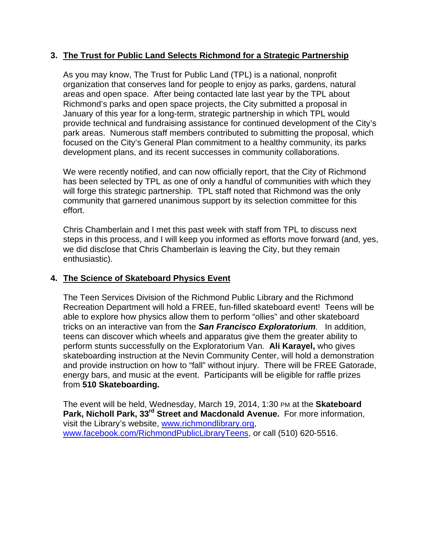### **3. The Trust for Public Land Selects Richmond for a Strategic Partnership**

As you may know, The Trust for Public Land (TPL) is a national, nonprofit organization that conserves land for people to enjoy as parks, gardens, natural areas and open space. After being contacted late last year by the TPL about Richmond's parks and open space projects, the City submitted a proposal in January of this year for a long-term, strategic partnership in which TPL would provide technical and fundraising assistance for continued development of the City's park areas. Numerous staff members contributed to submitting the proposal, which focused on the City's General Plan commitment to a healthy community, its parks development plans, and its recent successes in community collaborations.

We were recently notified, and can now officially report, that the City of Richmond has been selected by TPL as one of only a handful of communities with which they will forge this strategic partnership. TPL staff noted that Richmond was the only community that garnered unanimous support by its selection committee for this effort.

Chris Chamberlain and I met this past week with staff from TPL to discuss next steps in this process, and I will keep you informed as efforts move forward (and, yes, we did disclose that Chris Chamberlain is leaving the City, but they remain enthusiastic).

### **4. The Science of Skateboard Physics Event**

The Teen Services Division of the Richmond Public Library and the Richmond Recreation Department will hold a FREE, fun-filled skateboard event! Teens will be able to explore how physics allow them to perform "ollies" and other skateboard tricks on an interactive van from the *San Francisco Exploratorium.* In addition, teens can discover which wheels and apparatus give them the greater ability to perform stunts successfully on the Exploratorium Van. **Ali Karayel,** who gives skateboarding instruction at the Nevin Community Center, will hold a demonstration and provide instruction on how to "fall" without injury. There will be FREE Gatorade, energy bars, and music at the event. Participants will be eligible for raffle prizes from **510 Skateboarding.** 

The event will be held, Wednesday, March 19, 2014, 1:30 PM at the **Skateboard**  Park, Nicholl Park, 33<sup>rd</sup> Street and Macdonald Avenue. For more information, visit the Library's website, www.richmondlibrary.org, www.facebook.com/RichmondPublicLibraryTeens, or call (510) 620-5516.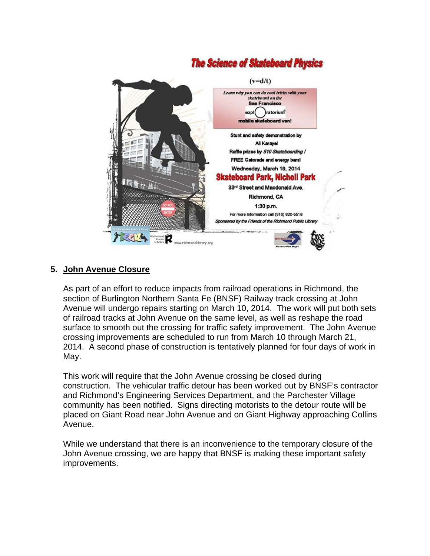# **The Science of Skateboard Physics**



## **5. John Avenue Closure**

As part of an effort to reduce impacts from railroad operations in Richmond, the section of Burlington Northern Santa Fe (BNSF) Railway track crossing at John Avenue will undergo repairs starting on March 10, 2014. The work will put both sets of railroad tracks at John Avenue on the same level, as well as reshape the road surface to smooth out the crossing for traffic safety improvement. The John Avenue crossing improvements are scheduled to run from March 10 through March 21, 2014. A second phase of construction is tentatively planned for four days of work in May.

This work will require that the John Avenue crossing be closed during construction. The vehicular traffic detour has been worked out by BNSF's contractor and Richmond's Engineering Services Department, and the Parchester Village community has been notified. Signs directing motorists to the detour route will be placed on Giant Road near John Avenue and on Giant Highway approaching Collins Avenue.

While we understand that there is an inconvenience to the temporary closure of the John Avenue crossing, we are happy that BNSF is making these important safety improvements.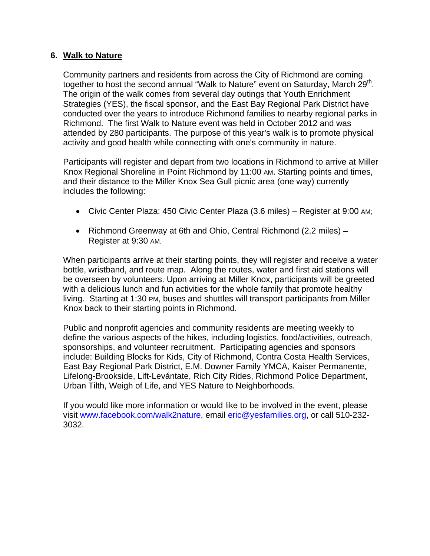### **6. Walk to Nature**

Community partners and residents from across the City of Richmond are coming together to host the second annual "Walk to Nature" event on Saturday, March  $29<sup>th</sup>$ . The origin of the walk comes from several day outings that Youth Enrichment Strategies (YES), the fiscal sponsor, and the East Bay Regional Park District have conducted over the years to introduce Richmond families to nearby regional parks in Richmond. The first Walk to Nature event was held in October 2012 and was attended by 280 participants. The purpose of this year's walk is to promote physical activity and good health while connecting with one's community in nature.

Participants will register and depart from two locations in Richmond to arrive at Miller Knox Regional Shoreline in Point Richmond by 11:00 AM. Starting points and times, and their distance to the Miller Knox Sea Gull picnic area (one way) currently includes the following:

- Civic Center Plaza: 450 Civic Center Plaza (3.6 miles) Register at 9:00 AM;
- Richmond Greenway at 6th and Ohio, Central Richmond (2.2 miles) Register at 9:30 AM.

When participants arrive at their starting points, they will register and receive a water bottle, wristband, and route map. Along the routes, water and first aid stations will be overseen by volunteers. Upon arriving at Miller Knox, participants will be greeted with a delicious lunch and fun activities for the whole family that promote healthy living. Starting at 1:30 PM, buses and shuttles will transport participants from Miller Knox back to their starting points in Richmond.

Public and nonprofit agencies and community residents are meeting weekly to define the various aspects of the hikes, including logistics, food/activities, outreach, sponsorships, and volunteer recruitment. Participating agencies and sponsors include: Building Blocks for Kids, City of Richmond, Contra Costa Health Services, East Bay Regional Park District, E.M. Downer Family YMCA, Kaiser Permanente, Lifelong-Brookside, Lift-Levántate, Rich City Rides, Richmond Police Department, Urban Tilth, Weigh of Life, and YES Nature to Neighborhoods.

If you would like more information or would like to be involved in the event, please visit www.facebook.com/walk2nature, email eric@yesfamilies.org, or call 510-232- 3032.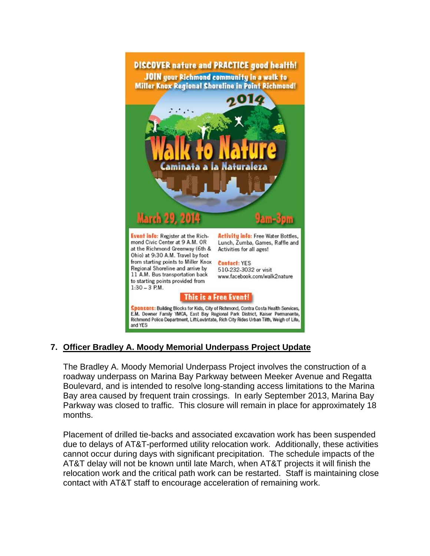

# **7. Officer Bradley A. Moody Memorial Underpass Project Update**

The Bradley A. Moody Memorial Underpass Project involves the construction of a roadway underpass on Marina Bay Parkway between Meeker Avenue and Regatta Boulevard, and is intended to resolve long-standing access limitations to the Marina Bay area caused by frequent train crossings. In early September 2013, Marina Bay Parkway was closed to traffic. This closure will remain in place for approximately 18 months.

Placement of drilled tie-backs and associated excavation work has been suspended due to delays of AT&T-performed utility relocation work. Additionally, these activities cannot occur during days with significant precipitation. The schedule impacts of the AT&T delay will not be known until late March, when AT&T projects it will finish the relocation work and the critical path work can be restarted. Staff is maintaining close contact with AT&T staff to encourage acceleration of remaining work.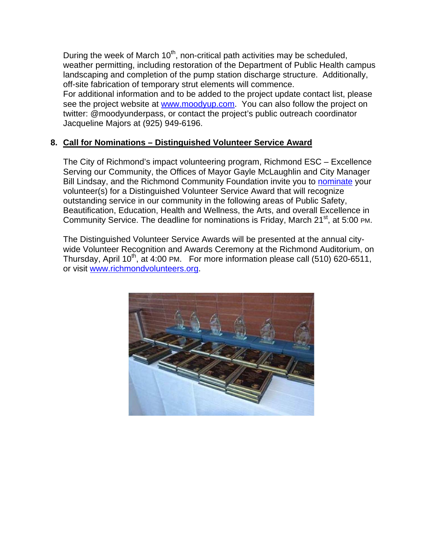During the week of March  $10<sup>th</sup>$ , non-critical path activities may be scheduled, weather permitting, including restoration of the Department of Public Health campus landscaping and completion of the pump station discharge structure. Additionally, off-site fabrication of temporary strut elements will commence.

For additional information and to be added to the project update contact list, please see the project website at www.moodyup.com. You can also follow the project on twitter: @moodyunderpass, or contact the project's public outreach coordinator Jacqueline Majors at (925) 949-6196.

## **8. Call for Nominations – Distinguished Volunteer Service Award**

The City of Richmond's impact volunteering program, Richmond ESC – Excellence Serving our Community, the Offices of Mayor Gayle McLaughlin and City Manager Bill Lindsay, and the Richmond Community Foundation invite you to nominate your volunteer(s) for a Distinguished Volunteer Service Award that will recognize outstanding service in our community in the following areas of Public Safety, Beautification, Education, Health and Wellness, the Arts, and overall Excellence in Community Service. The deadline for nominations is Friday, March  $21<sup>st</sup>$ , at 5:00 PM.

The Distinguished Volunteer Service Awards will be presented at the annual citywide Volunteer Recognition and Awards Ceremony at the Richmond Auditorium, on Thursday, April 10<sup>th</sup>, at 4:00 PM. For more information please call (510) 620-6511, or visit www.richmondvolunteers.org.

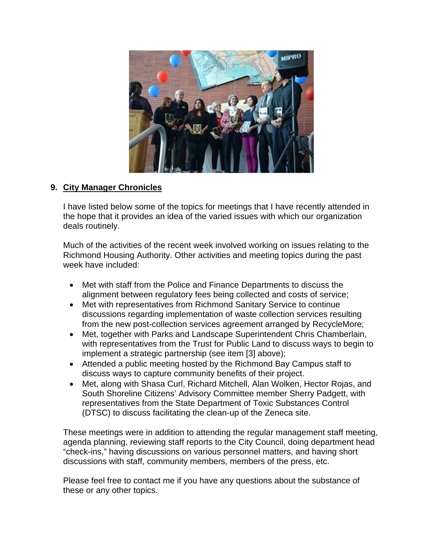

# **9. City Manager Chronicles**

I have listed below some of the topics for meetings that I have recently attended in the hope that it provides an idea of the varied issues with which our organization deals routinely.

Much of the activities of the recent week involved working on issues relating to the Richmond Housing Authority. Other activities and meeting topics during the past week have included:

- Met with staff from the Police and Finance Departments to discuss the alignment between regulatory fees being collected and costs of service;
- Met with representatives from Richmond Sanitary Service to continue discussions regarding implementation of waste collection services resulting from the new post-collection services agreement arranged by RecycleMore;
- Met, together with Parks and Landscape Superintendent Chris Chamberlain, with representatives from the Trust for Public Land to discuss ways to begin to implement a strategic partnership (see item [3] above);
- Attended a public meeting hosted by the Richmond Bay Campus staff to discuss ways to capture community benefits of their project.
- Met, along with Shasa Curl, Richard Mitchell, Alan Wolken, Hector Rojas, and South Shoreline Citizens' Advisory Committee member Sherry Padgett, with representatives from the State Department of Toxic Substances Control (DTSC) to discuss facilitating the clean-up of the Zeneca site.

These meetings were in addition to attending the regular management staff meeting, agenda planning, reviewing staff reports to the City Council, doing department head "check-ins," having discussions on various personnel matters, and having short discussions with staff, community members, members of the press, etc.

Please feel free to contact me if you have any questions about the substance of these or any other topics.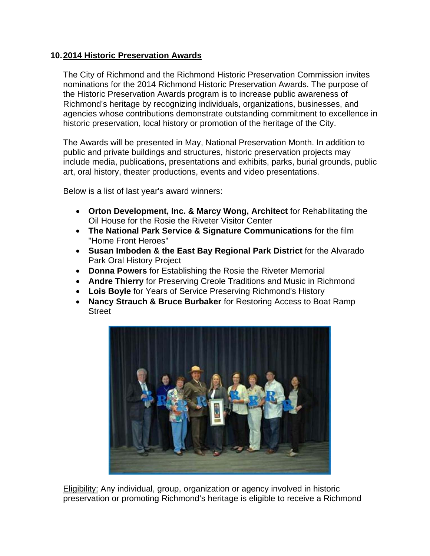### **10. 2014 Historic Preservation Awards**

The City of Richmond and the Richmond Historic Preservation Commission invites nominations for the 2014 Richmond Historic Preservation Awards. The purpose of the Historic Preservation Awards program is to increase public awareness of Richmond's heritage by recognizing individuals, organizations, businesses, and agencies whose contributions demonstrate outstanding commitment to excellence in historic preservation, local history or promotion of the heritage of the City.

The Awards will be presented in May, National Preservation Month. In addition to public and private buildings and structures, historic preservation projects may include media, publications, presentations and exhibits, parks, burial grounds, public art, oral history, theater productions, events and video presentations.

Below is a list of last year's award winners:

- **Orton Development, Inc. & Marcy Wong, Architect** for Rehabilitating the Oil House for the Rosie the Riveter Visitor Center
- **The National Park Service & Signature Communications** for the film "Home Front Heroes"
- **Susan Imboden & the East Bay Regional Park District** for the Alvarado Park Oral History Project
- **Donna Powers** for Establishing the Rosie the Riveter Memorial
- **Andre Thierry** for Preserving Creole Traditions and Music in Richmond
- **Lois Boyle** for Years of Service Preserving Richmond's History
- **Nancy Strauch & Bruce Burbaker** for Restoring Access to Boat Ramp **Street**



Eligibility: Any individual, group, organization or agency involved in historic preservation or promoting Richmond's heritage is eligible to receive a Richmond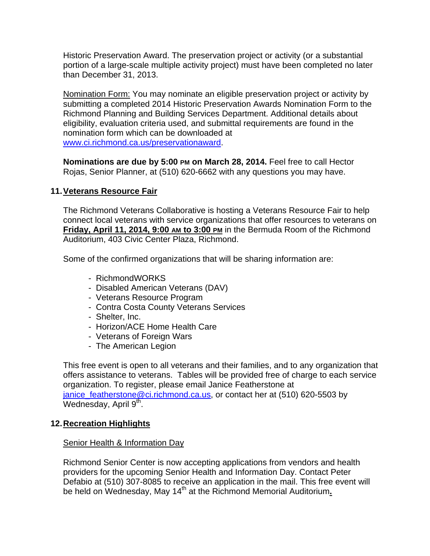Historic Preservation Award. The preservation project or activity (or a substantial portion of a large-scale multiple activity project) must have been completed no later than December 31, 2013.

Nomination Form: You may nominate an eligible preservation project or activity by submitting a completed 2014 Historic Preservation Awards Nomination Form to the Richmond Planning and Building Services Department. Additional details about eligibility, evaluation criteria used, and submittal requirements are found in the nomination form which can be downloaded at www.ci.richmond.ca.us/preservationaward.

**Nominations are due by 5:00 PM on March 28, 2014.** Feel free to call Hector Rojas, Senior Planner, at (510) 620-6662 with any questions you may have.

### **11. Veterans Resource Fair**

The Richmond Veterans Collaborative is hosting a Veterans Resource Fair to help connect local veterans with service organizations that offer resources to veterans on **Friday, April 11, 2014, 9:00 AM to 3:00 PM** in the Bermuda Room of the Richmond Auditorium, 403 Civic Center Plaza, Richmond.

Some of the confirmed organizations that will be sharing information are:

- RichmondWORKS
- Disabled American Veterans (DAV)
- Veterans Resource Program
- Contra Costa County Veterans Services
- Shelter, Inc.
- Horizon/ACE Home Health Care
- Veterans of Foreign Wars
- The American Legion

This free event is open to all veterans and their families, and to any organization that offers assistance to veterans. Tables will be provided free of charge to each service organization. To register, please email Janice Featherstone at janice featherstone@ci.richmond.ca.us, or contact her at (510) 620-5503 by Wednesday, April  $9<sup>th</sup>$ .

### **12. Recreation Highlights**

**Senior Health & Information Day** 

Richmond Senior Center is now accepting applications from vendors and health providers for the upcoming Senior Health and Information Day. Contact Peter Defabio at (510) 307-8085 to receive an application in the mail. This free event will be held on Wednesday, May 14<sup>th</sup> at the Richmond Memorial Auditorium.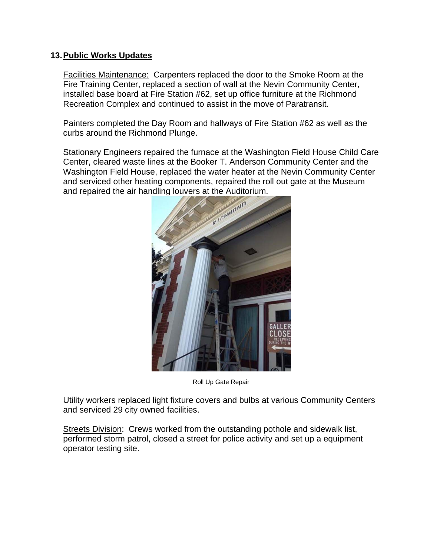### **13. Public Works Updates**

Facilities Maintenance: Carpenters replaced the door to the Smoke Room at the Fire Training Center, replaced a section of wall at the Nevin Community Center, installed base board at Fire Station #62, set up office furniture at the Richmond Recreation Complex and continued to assist in the move of Paratransit.

Painters completed the Day Room and hallways of Fire Station #62 as well as the curbs around the Richmond Plunge.

Stationary Engineers repaired the furnace at the Washington Field House Child Care Center, cleared waste lines at the Booker T. Anderson Community Center and the Washington Field House, replaced the water heater at the Nevin Community Center and serviced other heating components, repaired the roll out gate at the Museum



Roll Up Gate Repair

Utility workers replaced light fixture covers and bulbs at various Community Centers and serviced 29 city owned facilities.

Streets Division: Crews worked from the outstanding pothole and sidewalk list, performed storm patrol, closed a street for police activity and set up a equipment operator testing site.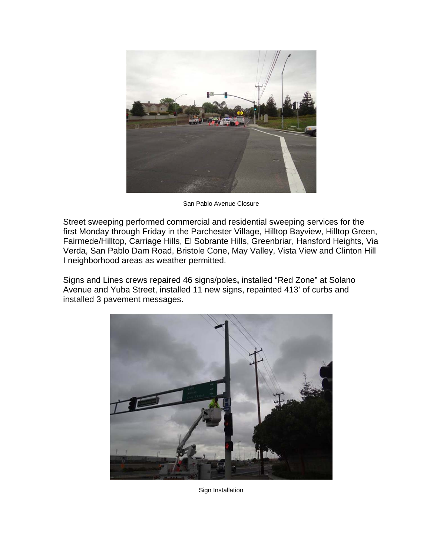

San Pablo Avenue Closure

Street sweeping performed commercial and residential sweeping services for the first Monday through Friday in the Parchester Village, Hilltop Bayview, Hilltop Green, Fairmede/Hilltop, Carriage Hills, El Sobrante Hills, Greenbriar, Hansford Heights, Via Verda, San Pablo Dam Road, Bristole Cone, May Valley, Vista View and Clinton Hill I neighborhood areas as weather permitted.

Signs and Lines crews repaired 46 signs/poles**,** installed "Red Zone" at Solano Avenue and Yuba Street, installed 11 new signs, repainted 413' of curbs and installed 3 pavement messages.



Sign Installation